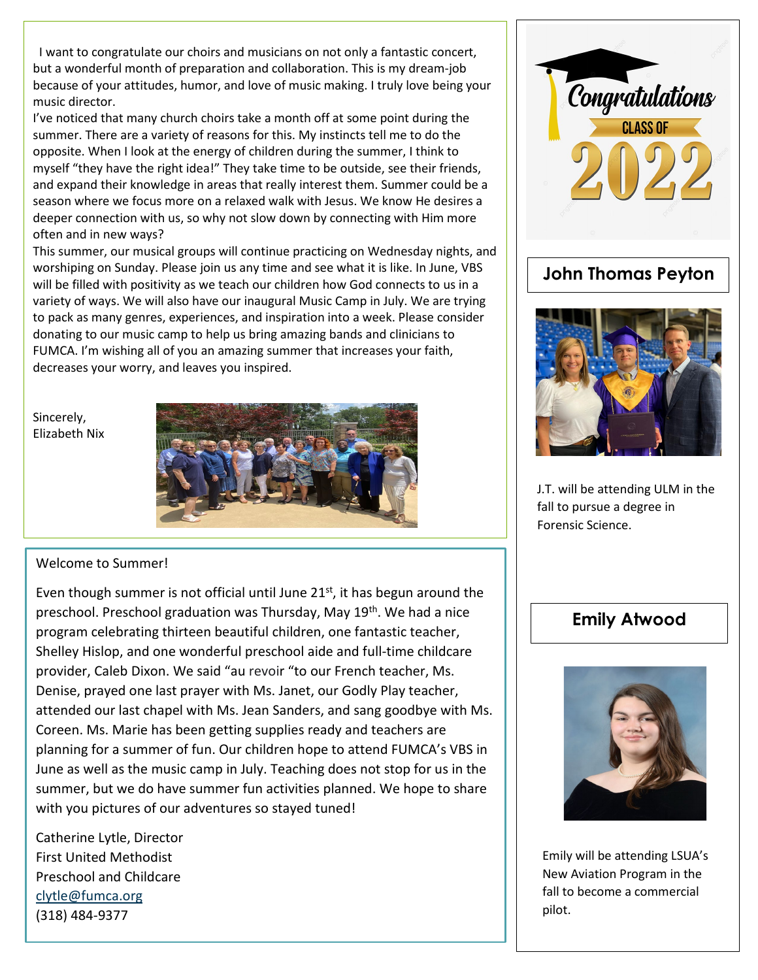I want to congratulate our choirs and musicians on not only a fantastic concert, but a wonderful month of preparation and collaboration. This is my dream-job because of your attitudes, humor, and love of music making. I truly love being your music director.

I've noticed that many church choirs take a month off at some point during the summer. There are a variety of reasons for this. My instincts tell me to do the opposite. When I look at the energy of children during the summer, I think to myself "they have the right idea!" They take time to be outside, see their friends, and expand their knowledge in areas that really interest them. Summer could be a season where we focus more on a relaxed walk with Jesus. We know He desires a deeper connection with us, so why not slow down by connecting with Him more often and in new ways?

This summer, our musical groups will continue practicing on Wednesday nights, and worshiping on Sunday. Please join us any time and see what it is like. In June, VBS will be filled with positivity as we teach our children how God connects to us in a variety of ways. We will also have our inaugural Music Camp in July. We are trying to pack as many genres, experiences, and inspiration into a week. Please consider donating to our music camp to help us bring amazing bands and clinicians to FUMCA. I'm wishing all of you an amazing summer that increases your faith, decreases your worry, and leaves you inspired.

Sincerely, Elizabeth Nix



## Welcome to Summer!

Even though summer is not official until June  $21<sup>st</sup>$ , it has begun around the preschool. Preschool graduation was Thursday, May 19<sup>th</sup>. We had a nice program celebrating thirteen beautiful children, one fantastic teacher, Shelley Hislop, and one wonderful preschool aide and full-time childcare provider, Caleb Dixon. We said "au revoir "to our French teacher, Ms. Denise, prayed one last prayer with Ms. Janet, our Godly Play teacher, attended our last chapel with Ms. Jean Sanders, and sang goodbye with Ms. Coreen. Ms. Marie has been getting supplies ready and teachers are planning for a summer of fun. Our children hope to attend FUMCA's VBS in June as well as the music camp in July. Teaching does not stop for us in the summer, but we do have summer fun activities planned. We hope to share with you pictures of our adventures so stayed tuned!

Catherine Lytle, Director First United Methodist Preschool and Childcare [clytle@fumca.org](mailto:clytle@fumca.org) (318) 484-9377





J.T. will be attending ULM in the fall to pursue a degree in Forensic Science.

## **Emily Atwood**



Emily will be attending LSUA's New Aviation Program in the fall to become a commercial pilot.